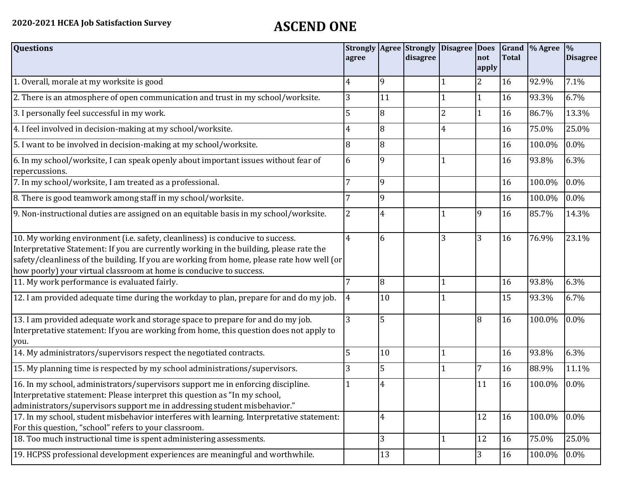| <b>Questions</b>                                                                                                                                                                                                                                                                                                                               | agree          |                | <b>Strongly Agree Strongly</b><br>disagree | Disagree Does | not          | <b>Total</b> | Grand \% Agree | $\%$<br><b>Disagree</b> |
|------------------------------------------------------------------------------------------------------------------------------------------------------------------------------------------------------------------------------------------------------------------------------------------------------------------------------------------------|----------------|----------------|--------------------------------------------|---------------|--------------|--------------|----------------|-------------------------|
|                                                                                                                                                                                                                                                                                                                                                |                |                |                                            |               | apply        |              |                |                         |
| 1. Overall, morale at my worksite is good                                                                                                                                                                                                                                                                                                      | 4              | 9              |                                            |               | 2            | 16           | 92.9%          | 7.1%                    |
| 2. There is an atmosphere of open communication and trust in my school/worksite.                                                                                                                                                                                                                                                               | 3              | 11             |                                            |               | $\mathbf{1}$ | 16           | 93.3%          | 6.7%                    |
| 3. I personally feel successful in my work.                                                                                                                                                                                                                                                                                                    |                | 8              |                                            |               | 1            | 16           | 86.7%          | 13.3%                   |
| 4. I feel involved in decision-making at my school/worksite.                                                                                                                                                                                                                                                                                   | 4              | 8              |                                            | 4             |              | 16           | 75.0%          | 25.0%                   |
| 5. I want to be involved in decision-making at my school/worksite.                                                                                                                                                                                                                                                                             | 8              | 8              |                                            |               |              | 16           | 100.0%         | $0.0\%$                 |
| 6. In my school/worksite, I can speak openly about important issues without fear of<br>repercussions.                                                                                                                                                                                                                                          | 6              | $\mathbf{Q}$   |                                            |               |              | 16           | 93.8%          | 6.3%                    |
| 7. In my school/worksite, I am treated as a professional.                                                                                                                                                                                                                                                                                      |                | 9              |                                            |               |              | 16           | 100.0%         | $0.0\%$                 |
| 8. There is good teamwork among staff in my school/worksite.                                                                                                                                                                                                                                                                                   |                | $\mathbf{Q}$   |                                            |               |              | 16           | 100.0%         | $0.0\%$                 |
| 9. Non-instructional duties are assigned on an equitable basis in my school/worksite.                                                                                                                                                                                                                                                          | $\overline{2}$ | $\overline{4}$ |                                            |               | 9            | 16           | 85.7%          | 14.3%                   |
| 10. My working environment (i.e. safety, cleanliness) is conducive to success.<br>Interpretative Statement: If you are currently working in the building, please rate the<br>safety/cleanliness of the building. If you are working from home, please rate how well (or<br>how poorly) your virtual classroom at home is conducive to success. | 4              | 6              |                                            | 3             | 3            | 16           | 76.9%          | 23.1%                   |
| 11. My work performance is evaluated fairly.                                                                                                                                                                                                                                                                                                   |                | 8              |                                            |               |              | 16           | 93.8%          | 6.3%                    |
| 12. I am provided adequate time during the workday to plan, prepare for and do my job.                                                                                                                                                                                                                                                         | 4              | 10             |                                            |               |              | 15           | 93.3%          | 6.7%                    |
| 13. I am provided adequate work and storage space to prepare for and do my job.<br>Interpretative statement: If you are working from home, this question does not apply to<br>you.                                                                                                                                                             |                | 5              |                                            |               | 8            | 16           | 100.0%         | $0.0\%$                 |
| 14. My administrators/supervisors respect the negotiated contracts.                                                                                                                                                                                                                                                                            |                | 10             |                                            |               |              | 16           | 93.8%          | 6.3%                    |
| 15. My planning time is respected by my school administrations/supervisors.                                                                                                                                                                                                                                                                    | 3              | 5              |                                            |               | 7            | 16           | 88.9%          | 11.1%                   |
| 16. In my school, administrators/supervisors support me in enforcing discipline.<br>Interpretative statement: Please interpret this question as "In my school,<br>administrators/supervisors support me in addressing student misbehavior."                                                                                                    |                | 4              |                                            |               | 11           | 16           | 100.0%         | $0.0\%$                 |
| 17. In my school, student misbehavior interferes with learning. Interpretative statement:<br>For this question, "school" refers to your classroom.                                                                                                                                                                                             |                | 4              |                                            |               | 12           | 16           | 100.0%         | $0.0\%$                 |
| 18. Too much instructional time is spent administering assessments.                                                                                                                                                                                                                                                                            |                | 3              |                                            |               | 12           | 16           | 75.0%          | 25.0%                   |
| 19. HCPSS professional development experiences are meaningful and worthwhile.                                                                                                                                                                                                                                                                  |                | 13             |                                            |               | 3            | 16           | 100.0%         | $0.0\%$                 |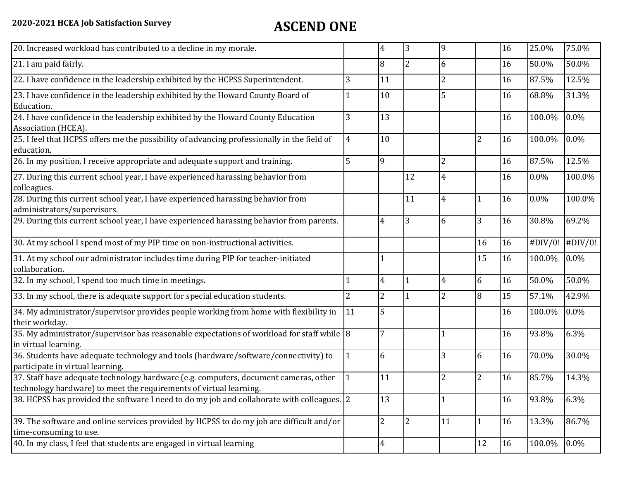| 20. Increased workload has contributed to a decline in my morale.                                                                                          |                | 4              | $\overline{3}$ | 9              |                | 16 | 25.0%   | 75.0%                   |
|------------------------------------------------------------------------------------------------------------------------------------------------------------|----------------|----------------|----------------|----------------|----------------|----|---------|-------------------------|
| 21. I am paid fairly.                                                                                                                                      |                | 8              | $\overline{2}$ | 6              |                | 16 | 50.0%   | 50.0%                   |
| 22. I have confidence in the leadership exhibited by the HCPSS Superintendent.                                                                             | 3              | 11             |                | $\overline{c}$ |                | 16 | 87.5%   | 12.5%                   |
| 23. I have confidence in the leadership exhibited by the Howard County Board of<br>Education.                                                              |                | 10             |                |                |                | 16 | 68.8%   | 31.3%                   |
| 24. I have confidence in the leadership exhibited by the Howard County Education<br>Association (HCEA).                                                    | 3              | 13             |                |                |                | 16 | 100.0%  | 0.0%                    |
| 25. I feel that HCPSS offers me the possibility of advancing professionally in the field of<br>education.                                                  | $\overline{4}$ | 10             |                |                | $\overline{2}$ | 16 | 100.0%  | 0.0%                    |
| 26. In my position, I receive appropriate and adequate support and training.                                                                               |                | 9              |                | $\overline{2}$ |                | 16 | 87.5%   | 12.5%                   |
| 27. During this current school year, I have experienced harassing behavior from<br>colleagues.                                                             |                |                | 12             | 4              |                | 16 | 0.0%    | 100.0%                  |
| 28. During this current school year, I have experienced harassing behavior from<br>administrators/supervisors.                                             |                |                | 11             | 4              |                | 16 | $0.0\%$ | 100.0%                  |
| 29. During this current school year, I have experienced harassing behavior from parents.                                                                   |                | 4              | 3              | 6              | 3              | 16 | 30.8%   | 69.2%                   |
| 30. At my school I spend most of my PIP time on non-instructional activities.                                                                              |                |                |                |                | 16             | 16 |         | $\#$ DIV/0! $\#$ DIV/0! |
| 31. At my school our administrator includes time during PIP for teacher-initiated<br>collaboration.                                                        |                |                |                |                | 15             | 16 | 100.0%  | 0.0%                    |
| 32. In my school, I spend too much time in meetings.                                                                                                       |                | 4              | 1              | 4              | 6              | 16 | 50.0%   | 50.0%                   |
| 33. In my school, there is adequate support for special education students.                                                                                | $\overline{2}$ | $\overline{2}$ | 1              | $\overline{2}$ | 8              | 15 | 57.1%   | 42.9%                   |
| 34. My administrator/supervisor provides people working from home with flexibility in<br>their workday.                                                    | 11             | 5              |                |                |                | 16 | 100.0%  | $0.0\%$                 |
| 35. My administrator/supervisor has reasonable expectations of workload for staff while 8<br>in virtual learning.                                          |                | 7              |                |                |                | 16 | 93.8%   | 6.3%                    |
| 36. Students have adequate technology and tools (hardware/software/connectivity) to<br>participate in virtual learning.                                    |                | 6              |                | 3              | 6              | 16 | 70.0%   | 30.0%                   |
| 37. Staff have adequate technology hardware (e.g. computers, document cameras, other<br>technology hardware) to meet the requirements of virtual learning. |                | 11             |                |                | 2              | 16 | 85.7%   | 14.3%                   |
| 38. HCPSS has provided the software I need to do my job and collaborate with colleagues. 2                                                                 |                | 13             |                |                |                | 16 | 93.8%   | 6.3%                    |
| 39. The software and online services provided by HCPSS to do my job are difficult and/or<br>time-consuming to use.                                         |                | $\overline{2}$ | $\overline{2}$ | 11             | $\mathbf{1}$   | 16 | 13.3%   | 86.7%                   |
| 40. In my class, I feel that students are engaged in virtual learning                                                                                      |                | $\overline{4}$ |                |                | 12             | 16 | 100.0%  | 0.0%                    |